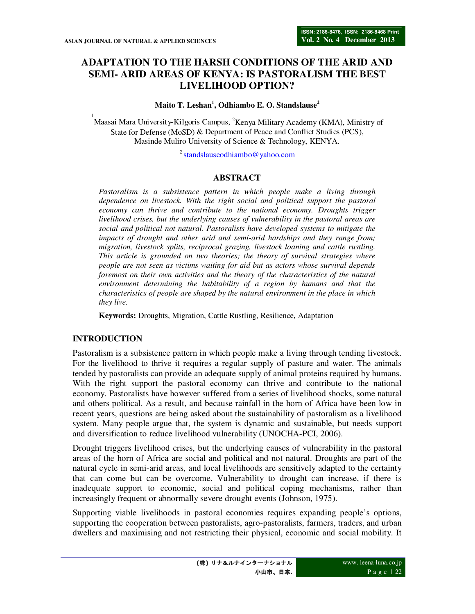# **ADAPTATION TO THE HARSH CONDITIONS OF THE ARID AND SEMI- ARID AREAS OF KENYA: IS PASTORALISM THE BEST LIVELIHOOD OPTION?**

#### **Maito T. Leshan<sup>1</sup> , Odhiambo E. O. Standslause<sup>2</sup>**

<sup>1</sup><br>Maasai Mara University-Kilgoris Campus, <sup>2</sup>Kenya Military Academy (KMA), Ministry of State for Defense (MoSD) & Department of Peace and Conflict Studies (PCS), Masinde Muliro University of Science & Technology, KENYA.

 $2$  standslauseodhiambo@yahoo.com

#### **ABSTRACT**

*Pastoralism is a subsistence pattern in which people make a living through dependence on livestock. With the right social and political support the pastoral economy can thrive and contribute to the national economy. Droughts trigger livelihood crises, but the underlying causes of vulnerability in the pastoral areas are social and political not natural. Pastoralists have developed systems to mitigate the impacts of drought and other arid and semi-arid hardships and they range from; migration, livestock splits, reciprocal grazing, livestock loaning and cattle rustling. This article is grounded on two theories; the theory of survival strategies where people are not seen as victims waiting for aid but as actors whose survival depends foremost on their own activities and the theory of the characteristics of the natural environment determining the habitability of a region by humans and that the characteristics of people are shaped by the natural environment in the place in which they live.* 

**Keywords:** Droughts, Migration, Cattle Rustling, Resilience, Adaptation

### **INTRODUCTION**

Pastoralism is a subsistence pattern in which people make a living through tending livestock. For the livelihood to thrive it requires a regular supply of pasture and water. The animals tended by pastoralists can provide an adequate supply of animal proteins required by humans. With the right support the pastoral economy can thrive and contribute to the national economy. Pastoralists have however suffered from a series of livelihood shocks, some natural and others political. As a result, and because rainfall in the horn of Africa have been low in recent years, questions are being asked about the sustainability of pastoralism as a livelihood system. Many people argue that, the system is dynamic and sustainable, but needs support and diversification to reduce livelihood vulnerability (UNOCHA-PCI, 2006).

Drought triggers livelihood crises, but the underlying causes of vulnerability in the pastoral areas of the horn of Africa are social and political and not natural. Droughts are part of the natural cycle in semi-arid areas, and local livelihoods are sensitively adapted to the certainty that can come but can be overcome. Vulnerability to drought can increase, if there is inadequate support to economic, social and political coping mechanisms, rather than increasingly frequent or abnormally severe drought events (Johnson, 1975).

Supporting viable livelihoods in pastoral economies requires expanding people's options, supporting the cooperation between pastoralists, agro-pastoralists, farmers, traders, and urban dwellers and maximising and not restricting their physical, economic and social mobility. It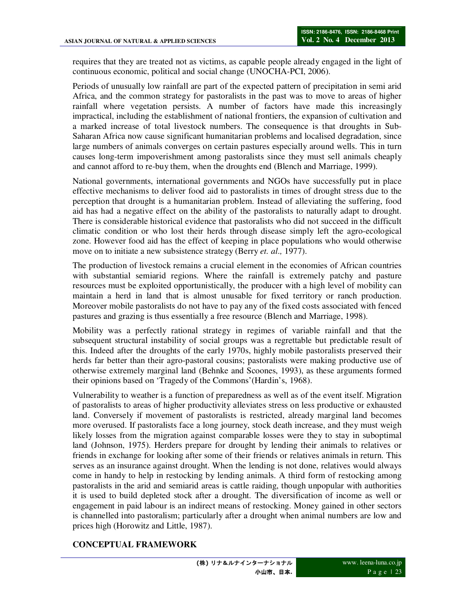requires that they are treated not as victims, as capable people already engaged in the light of continuous economic, political and social change (UNOCHA-PCI, 2006).

Periods of unusually low rainfall are part of the expected pattern of precipitation in semi arid Africa, and the common strategy for pastoralists in the past was to move to areas of higher rainfall where vegetation persists. A number of factors have made this increasingly impractical, including the establishment of national frontiers, the expansion of cultivation and a marked increase of total livestock numbers. The consequence is that droughts in Sub-Saharan Africa now cause significant humanitarian problems and localised degradation, since large numbers of animals converges on certain pastures especially around wells. This in turn causes long-term impoverishment among pastoralists since they must sell animals cheaply and cannot afford to re-buy them, when the droughts end (Blench and Marriage, 1999).

National governments, international governments and NGOs have successfully put in place effective mechanisms to deliver food aid to pastoralists in times of drought stress due to the perception that drought is a humanitarian problem. Instead of alleviating the suffering, food aid has had a negative effect on the ability of the pastoralists to naturally adapt to drought. There is considerable historical evidence that pastoralists who did not succeed in the difficult climatic condition or who lost their herds through disease simply left the agro-ecological zone. However food aid has the effect of keeping in place populations who would otherwise move on to initiate a new subsistence strategy (Berry *et. al.,* 1977).

The production of livestock remains a crucial element in the economies of African countries with substantial semiarid regions. Where the rainfall is extremely patchy and pasture resources must be exploited opportunistically, the producer with a high level of mobility can maintain a herd in land that is almost unusable for fixed territory or ranch production. Moreover mobile pastoralists do not have to pay any of the fixed costs associated with fenced pastures and grazing is thus essentially a free resource (Blench and Marriage, 1998).

Mobility was a perfectly rational strategy in regimes of variable rainfall and that the subsequent structural instability of social groups was a regrettable but predictable result of this. Indeed after the droughts of the early 1970s, highly mobile pastoralists preserved their herds far better than their agro-pastoral cousins; pastoralists were making productive use of otherwise extremely marginal land (Behnke and Scoones, 1993), as these arguments formed their opinions based on 'Tragedy of the Commons'(Hardin's, 1968).

Vulnerability to weather is a function of preparedness as well as of the event itself. Migration of pastoralists to areas of higher productivity alleviates stress on less productive or exhausted land. Conversely if movement of pastoralists is restricted, already marginal land becomes more overused. If pastoralists face a long journey, stock death increase, and they must weigh likely losses from the migration against comparable losses were they to stay in suboptimal land (Johnson, 1975). Herders prepare for drought by lending their animals to relatives or friends in exchange for looking after some of their friends or relatives animals in return. This serves as an insurance against drought. When the lending is not done, relatives would always come in handy to help in restocking by lending animals. A third form of restocking among pastoralists in the arid and semiarid areas is cattle raiding, though unpopular with authorities it is used to build depleted stock after a drought. The diversification of income as well or engagement in paid labour is an indirect means of restocking. Money gained in other sectors is channelled into pastoralism; particularly after a drought when animal numbers are low and prices high (Horowitz and Little, 1987).

#### **CONCEPTUAL FRAMEWORK**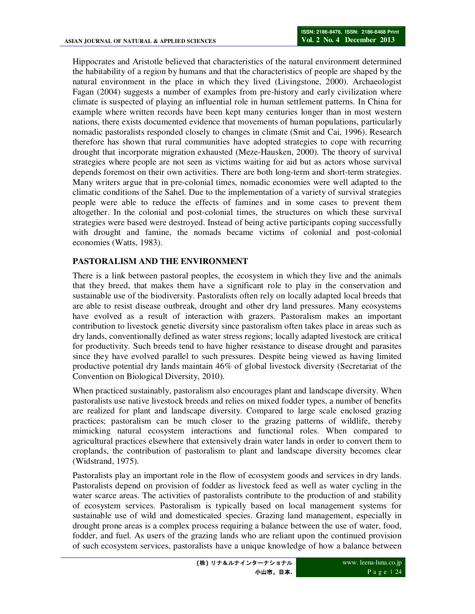Hippocrates and Aristotle believed that characteristics of the natural environment determined the habitability of a region by humans and that the characteristics of people are shaped by the natural environment in the place in which they lived (Livingstone, 2000). Archaeologist Fagan (2004) suggests a number of examples from pre-history and early civilization where climate is suspected of playing an influential role in human settlement patterns. In China for example where written records have been kept many centuries longer than in most western nations, there exists documented evidence that movements of human populations, particularly nomadic pastoralists responded closely to changes in climate (Smit and Cai, 1996). Research therefore has shown that rural communities have adopted strategies to cope with recurring drought that incorporate migration exhausted (Meze-Hausken, 2000). The theory of survival strategies where people are not seen as victims waiting for aid but as actors whose survival depends foremost on their own activities. There are both long-term and short-term strategies. Many writers argue that in pre-colonial times, nomadic economies were well adapted to the climatic conditions of the Sahel. Due to the implementation of a variety of survival strategies people were able to reduce the effects of famines and in some cases to prevent them altogether. In the colonial and post-colonial times, the structures on which these survival strategies were based were destroyed. Instead of being active participants coping successfully with drought and famine, the nomads became victims of colonial and post-colonial economies (Watts, 1983).

### **PASTORALISM AND THE ENVIRONMENT**

There is a link between pastoral peoples, the ecosystem in which they live and the animals that they breed, that makes them have a significant role to play in the conservation and sustainable use of the biodiversity. Pastoralists often rely on locally adapted local breeds that are able to resist disease outbreak, drought and other dry land pressures. Many ecosystems have evolved as a result of interaction with grazers. Pastoralism makes an important contribution to livestock genetic diversity since pastoralism often takes place in areas such as dry lands, conventionally defined as water stress regions; locally adapted livestock are critical for productivity. Such breeds tend to have higher resistance to disease drought and parasites since they have evolved parallel to such pressures. Despite being viewed as having limited productive potential dry lands maintain 46% of global livestock diversity (Secretariat of the Convention on Biological Diversity, 2010).

When practiced sustainably, pastoralism also encourages plant and landscape diversity. When pastoralists use native livestock breeds and relies on mixed fodder types, a number of benefits are realized for plant and landscape diversity. Compared to large scale enclosed grazing practices; pastoralism can be much closer to the grazing patterns of wildlife, thereby mimicking natural ecosystem interactions and functional roles. When compared to agricultural practices elsewhere that extensively drain water lands in order to convert them to croplands, the contribution of pastoralism to plant and landscape diversity becomes clear (Widstrand, 1975).

Pastoralists play an important role in the flow of ecosystem goods and services in dry lands. Pastoralists depend on provision of fodder as livestock feed as well as water cycling in the water scarce areas. The activities of pastoralists contribute to the production of and stability of ecosystem services. Pastoralism is typically based on local management systems for sustainable use of wild and domesticated species. Grazing land management, especially in drought prone areas is a complex process requiring a balance between the use of water, food, fodder, and fuel. As users of the grazing lands who are reliant upon the continued provision of such ecosystem services, pastoralists have a unique knowledge of how a balance between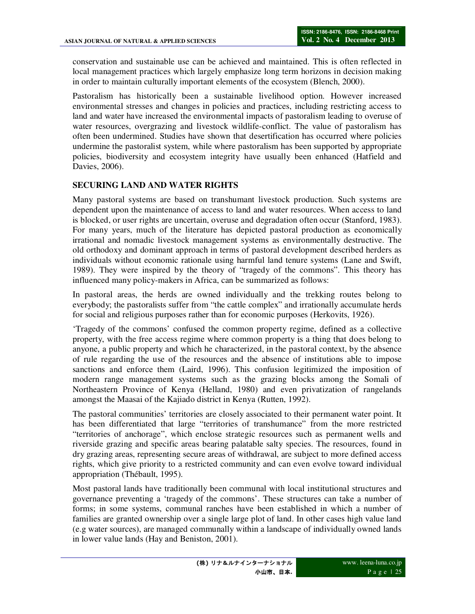conservation and sustainable use can be achieved and maintained. This is often reflected in local management practices which largely emphasize long term horizons in decision making in order to maintain culturally important elements of the ecosystem (Blench, 2000).

Pastoralism has historically been a sustainable livelihood option. However increased environmental stresses and changes in policies and practices, including restricting access to land and water have increased the environmental impacts of pastoralism leading to overuse of water resources, overgrazing and livestock wildlife-conflict. The value of pastoralism has often been undermined. Studies have shown that desertification has occurred where policies undermine the pastoralist system, while where pastoralism has been supported by appropriate policies, biodiversity and ecosystem integrity have usually been enhanced (Hatfield and Davies, 2006).

### **SECURING LAND AND WATER RIGHTS**

Many pastoral systems are based on transhumant livestock production. Such systems are dependent upon the maintenance of access to land and water resources. When access to land is blocked, or user rights are uncertain, overuse and degradation often occur (Stanford, 1983). For many years, much of the literature has depicted pastoral production as economically irrational and nomadic livestock management systems as environmentally destructive. The old orthodoxy and dominant approach in terms of pastoral development described herders as individuals without economic rationale using harmful land tenure systems (Lane and Swift, 1989). They were inspired by the theory of "tragedy of the commons". This theory has influenced many policy-makers in Africa, can be summarized as follows:

In pastoral areas, the herds are owned individually and the trekking routes belong to everybody; the pastoralists suffer from "the cattle complex" and irrationally accumulate herds for social and religious purposes rather than for economic purposes (Herkovits, 1926).

'Tragedy of the commons' confused the common property regime, defined as a collective property, with the free access regime where common property is a thing that does belong to anyone, a public property and which he characterized, in the pastoral context, by the absence of rule regarding the use of the resources and the absence of institutions able to impose sanctions and enforce them (Laird, 1996). This confusion legitimized the imposition of modern range management systems such as the grazing blocks among the Somali of Northeastern Province of Kenya (Helland, 1980) and even privatization of rangelands amongst the Maasai of the Kajiado district in Kenya (Rutten, 1992).

The pastoral communities' territories are closely associated to their permanent water point. It has been differentiated that large "territories of transhumance" from the more restricted "territories of anchorage", which enclose strategic resources such as permanent wells and riverside grazing and specific areas bearing palatable salty species. The resources, found in dry grazing areas, representing secure areas of withdrawal, are subject to more defined access rights, which give priority to a restricted community and can even evolve toward individual appropriation (Thébault, 1995).

Most pastoral lands have traditionally been communal with local institutional structures and governance preventing a 'tragedy of the commons'. These structures can take a number of forms; in some systems, communal ranches have been established in which a number of families are granted ownership over a single large plot of land. In other cases high value land (e.g water sources), are managed communally within a landscape of individually owned lands in lower value lands (Hay and Beniston, 2001).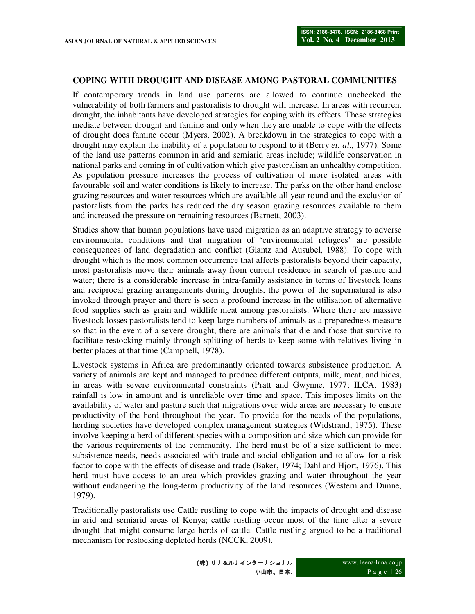#### **COPING WITH DROUGHT AND DISEASE AMONG PASTORAL COMMUNITIES**

If contemporary trends in land use patterns are allowed to continue unchecked the vulnerability of both farmers and pastoralists to drought will increase. In areas with recurrent drought, the inhabitants have developed strategies for coping with its effects. These strategies mediate between drought and famine and only when they are unable to cope with the effects of drought does famine occur (Myers, 2002). A breakdown in the strategies to cope with a drought may explain the inability of a population to respond to it (Berry *et. al.,* 1977). Some of the land use patterns common in arid and semiarid areas include; wildlife conservation in national parks and coming in of cultivation which give pastoralism an unhealthy competition. As population pressure increases the process of cultivation of more isolated areas with favourable soil and water conditions is likely to increase. The parks on the other hand enclose grazing resources and water resources which are available all year round and the exclusion of pastoralists from the parks has reduced the dry season grazing resources available to them and increased the pressure on remaining resources (Barnett, 2003).

Studies show that human populations have used migration as an adaptive strategy to adverse environmental conditions and that migration of 'environmental refugees' are possible consequences of land degradation and conflict (Glantz and Ausubel, 1988). To cope with drought which is the most common occurrence that affects pastoralists beyond their capacity, most pastoralists move their animals away from current residence in search of pasture and water; there is a considerable increase in intra-family assistance in terms of livestock loans and reciprocal grazing arrangements during droughts, the power of the supernatural is also invoked through prayer and there is seen a profound increase in the utilisation of alternative food supplies such as grain and wildlife meat among pastoralists. Where there are massive livestock losses pastoralists tend to keep large numbers of animals as a preparedness measure so that in the event of a severe drought, there are animals that die and those that survive to facilitate restocking mainly through splitting of herds to keep some with relatives living in better places at that time (Campbell, 1978).

Livestock systems in Africa are predominantly oriented towards subsistence production. A variety of animals are kept and managed to produce different outputs, milk, meat, and hides, in areas with severe environmental constraints (Pratt and Gwynne, 1977; ILCA, 1983) rainfall is low in amount and is unreliable over time and space. This imposes limits on the availability of water and pasture such that migrations over wide areas are necessary to ensure productivity of the herd throughout the year. To provide for the needs of the populations, herding societies have developed complex management strategies (Widstrand, 1975). These involve keeping a herd of different species with a composition and size which can provide for the various requirements of the community. The herd must be of a size sufficient to meet subsistence needs, needs associated with trade and social obligation and to allow for a risk factor to cope with the effects of disease and trade (Baker, 1974; Dahl and Hjort, 1976). This herd must have access to an area which provides grazing and water throughout the year without endangering the long-term productivity of the land resources (Western and Dunne, 1979).

Traditionally pastoralists use Cattle rustling to cope with the impacts of drought and disease in arid and semiarid areas of Kenya; cattle rustling occur most of the time after a severe drought that might consume large herds of cattle. Cattle rustling argued to be a traditional mechanism for restocking depleted herds (NCCK, 2009).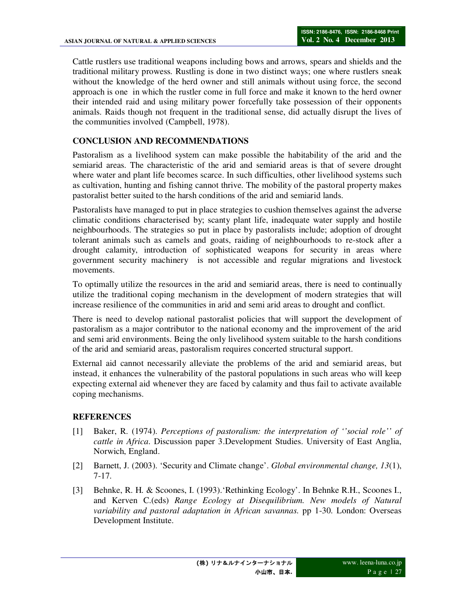Cattle rustlers use traditional weapons including bows and arrows, spears and shields and the traditional military prowess. Rustling is done in two distinct ways; one where rustlers sneak without the knowledge of the herd owner and still animals without using force, the second approach is one in which the rustler come in full force and make it known to the herd owner their intended raid and using military power forcefully take possession of their opponents animals. Raids though not frequent in the traditional sense, did actually disrupt the lives of the communities involved (Campbell, 1978).

## **CONCLUSION AND RECOMMENDATIONS**

Pastoralism as a livelihood system can make possible the habitability of the arid and the semiarid areas. The characteristic of the arid and semiarid areas is that of severe drought where water and plant life becomes scarce. In such difficulties, other livelihood systems such as cultivation, hunting and fishing cannot thrive. The mobility of the pastoral property makes pastoralist better suited to the harsh conditions of the arid and semiarid lands.

Pastoralists have managed to put in place strategies to cushion themselves against the adverse climatic conditions characterised by; scanty plant life, inadequate water supply and hostile neighbourhoods. The strategies so put in place by pastoralists include; adoption of drought tolerant animals such as camels and goats, raiding of neighbourhoods to re-stock after a drought calamity, introduction of sophisticated weapons for security in areas where government security machinery is not accessible and regular migrations and livestock movements.

To optimally utilize the resources in the arid and semiarid areas, there is need to continually utilize the traditional coping mechanism in the development of modern strategies that will increase resilience of the communities in arid and semi arid areas to drought and conflict.

There is need to develop national pastoralist policies that will support the development of pastoralism as a major contributor to the national economy and the improvement of the arid and semi arid environments. Being the only livelihood system suitable to the harsh conditions of the arid and semiarid areas, pastoralism requires concerted structural support.

External aid cannot necessarily alleviate the problems of the arid and semiarid areas, but instead, it enhances the vulnerability of the pastoral populations in such areas who will keep expecting external aid whenever they are faced by calamity and thus fail to activate available coping mechanisms.

### **REFERENCES**

- [1] Baker, R. (1974). *Perceptions of pastoralism: the interpretation of ''social role'' of cattle in Africa*. Discussion paper 3.Development Studies. University of East Anglia, Norwich, England.
- [2] Barnett, J. (2003). 'Security and Climate change'. *Global environmental change, 13*(1), 7-17.
- [3] Behnke, R. H. & Scoones, I. (1993).'Rethinking Ecology'. In Behnke R.H., Scoones I., and Kerven C.(eds) *Range Ecology at Disequilibrium. New models of Natural variability and pastoral adaptation in African savannas.* pp 1-30. London: Overseas Development Institute.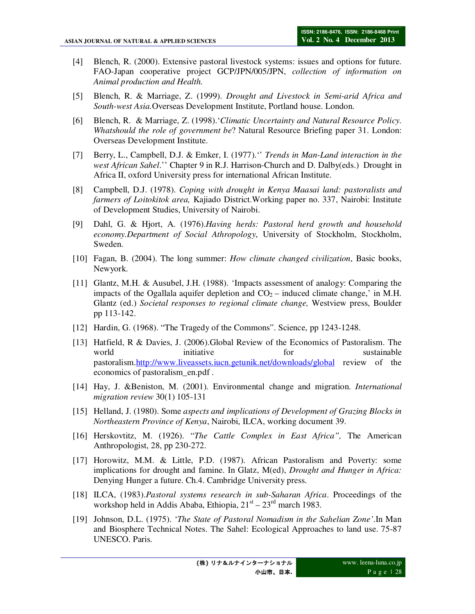- [4] Blench, R. (2000). Extensive pastoral livestock systems: issues and options for future. FAO-Japan cooperative project GCP/JPN/005/JPN, *collection of information on Animal production and Health.*
- [5] Blench, R. & Marriage, Z. (1999). *Drought and Livestock in Semi-arid Africa and South-west Asia.*Overseas Development Institute, Portland house. London.
- [6] Blench, R. & Marriage, Z. (1998).'*Climatic Uncertainty and Natural Resource Policy. Whatshould the role of government be*? Natural Resource Briefing paper 31. London: Overseas Development Institute.
- [7] Berry, L., Campbell, D.J. & Emker, I. (1977).'' *Trends in Man-Land interaction in the west African Sahel*.'' Chapter 9 in R.J. Harrison-Church and D. Dalby(eds.) Drought in Africa II, oxford University press for international African Institute.
- [8] Campbell, D.J. (1978). *Coping with drought in Kenya Maasai land: pastoralists and farmers of Loitokitok area,* Kajiado District.Working paper no. 337, Nairobi: Institute of Development Studies, University of Nairobi.
- [9] Dahl, G. & Hjort, A. (1976).*Having herds: Pastoral herd growth and household economy.Department of Social Athropology*, University of Stockholm, Stockholm, Sweden.
- [10] Fagan, B. (2004). The long summer: *How climate changed civilization*, Basic books, Newyork.
- [11] Glantz, M.H. & Ausubel, J.H. (1988). 'Impacts assessment of analogy: Comparing the impacts of the Ogallala aquifer depletion and  $CO<sub>2</sub>$  – induced climate change,' in M.H. Glantz (ed.) *Societal responses to regional climate change,* Westview press, Boulder pp 113-142.
- [12] Hardin, G. (1968). "The Tragedy of the Commons". Science, pp 1243-1248.
- [13] Hatfield, R & Davies, J. (2006).Global Review of the Economics of Pastoralism. The world initiative for sustainable pastoralism.http://www.liveassets.iucn.getunik.net/downloads/global review of the economics of pastoralism\_en.pdf .
- [14] Hay, J. &Beniston, M. (2001). Environmental change and migration. *International migration review* 30(1) 105-131
- [15] Helland, J. (1980). Some *aspects and implications of Development of Grazing Blocks in Northeastern Province of Kenya*, Nairobi, ILCA, working document 39.
- [16] Herskovtitz, M. (1926). "*The Cattle Complex in East Africa",* The American Anthropologist, 28, pp 230-272.
- [17] Horowitz, M.M. & Little, P.D. (1987). African Pastoralism and Poverty: some implications for drought and famine. In Glatz, M(ed), *Drought and Hunger in Africa:*  Denying Hunger a future. Ch.4. Cambridge University press.
- [18] ILCA, (1983).*Pastoral systems research in sub-Saharan Africa*. Proceedings of the workshop held in Addis Ababa, Ethiopia,  $21<sup>st</sup> - 23<sup>rd</sup>$  march 1983.
- [19] Johnson, D.L. (1975). '*The State of Pastoral Nomadism in the Sahelian Zone'*.In Man and Biosphere Technical Notes. The Sahel: Ecological Approaches to land use. 75-87 UNESCO. Paris.